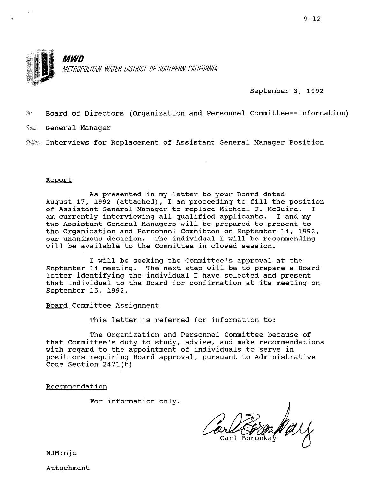

September 3, 1992

 $\bar{w}$ : Board of Directors (Organization and Personnel Committee--Information)

**France** General Manager

Subject: Interviews for Replacement of Assistant General Manager Position

#### Report

As presented in my letter to your Board dated August 17, 1992 (attached), I am proceeding to fill the position of Assistant General Manager to replace Michael J. McGuire. I am currently interviewing all qualified applicants. I and my two Assistant General Managers will be prepared to present to the Organization and Personnel Committee on September 14, 1992, our unanimous decision. The individual I will be recommending will be available to the Committee in closed session.

I will be seeking the Committee's approval at the September 14 meeting. The next step will be to prepare a Board letter identifying the individual I have selected and present that individual to the Board for confirmation at its meeting on September 15, 1992.

Board Committee Assignment

This letter is referred for information to:

The Organization and Personnel Committee because of that Committee's duty to study, advise, and make recommendations chat committee s duty to study, advise, and make recomment with regard to the appointment of individuals to serve in<br>positions requiring Board approval, pursuant to Administrative Code Section 2471(h)

Recommendation

For information only.

MJM:mjc

Attachment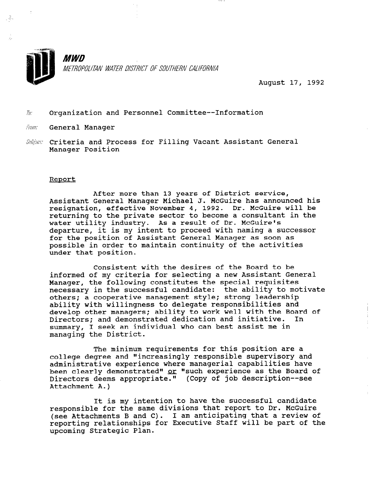

August 17, 1992

#### $\bar{w}$  Organization and Personnel Committee--Information

- From: General Manager
- Subject Criteria and Process for Filling Vacant Assistant Genera Manager Position

#### Report

After more than 13 years of District service, Assistant General Manager Michael J. McGuire has announced his resignation, effective November 4, 1992. Dr. McGuire will be returning to the private sector to become a consultant in the recurning to the private become to become a consult massimasility inalisity of a research in the mediate of the mediate of the mediate of the mediate of the media<br>departure of this my intent to proceed with naming a success. for the position of Assistant General Manager as soon as nossible in order to maintain continuity of the activi under that position.

Consistent with the desires of the Board to be informed of my criteria for selecting a new Assistant General Manager, the following constitutes the special requisites necessary in the successful candidate: the ability to motivate others; a cooperative management style; strong leadership ability with willingness to delegate responsibilities and develop other managers; ability to work well with the Board of Directors; and demonstrated dedication and initiative. In summary, I seek an individual who can best assist me in managing the District.

The minimum requirements for this position are a college degree and "increasingly responsible supervisory and administrative experience where managerial capabilities have been clearly demonstrated" or "such experience as the Board of Deen clearly demonstrated" <u>or</u> "such experience as the b<br>Directors deems appropriate." (Copy of job description Attachment A.)

It is my intention to have the successful candidate responsible for the same divisions that report to Dr. McGuire responsible for the same divisions that report to br. Mosulle<br>( ) itterburnts B and O). I am anticipating that a review of reporting relationships for Executive Staff will be part of the reporting relationships for Executive Staff will be part of the upcoming Strategic Plan.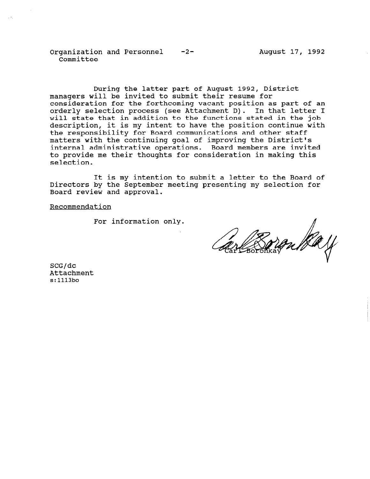Organization and Personnel -2-Committee

During the latter part of August 1992, District managers will be invited to submit their resume for consideration for the forthcoming vacant position as part of an orderly selection process (see Attachment D). In that letter I will state that in addition to the functions stated in the job description, it is my intent to have the position continue with the responsibility for Board communications and other staff matters with the continuing goal of improving the Distri internal administrative operations. Board members are invit to provide me their thoughts for consideration in making this selection.

It is my intention to submit a letter to the Board of Directors by the September meeting presenting my selection for Board review and approval.

Recommendation

For information only.

SCG/dc Attachment s:1113bo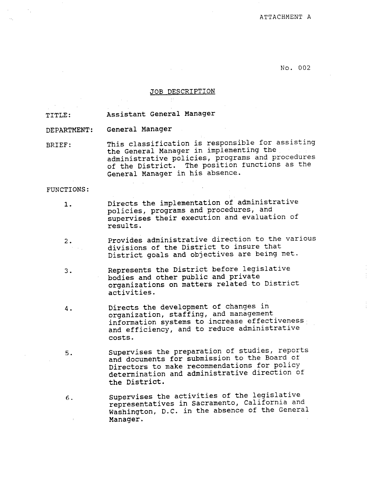NO. 002

#### JOB DESCRIPTION

TITLE: Assistant General Manager

DEPARTMENT: General Manager

BRIEF: This classification is responsible for assisting the General Manager in implementing the administrative policies, programs and procedures of the District. The position functions as the General Manager in his absence.

FUNCTIONS:

- 1. Directs the implementation of administrative policies, programs and procedures, and supervises their execution and evaluation of results.
- 2. Provides administrative direction to the various divisions of the District to insure that District goals and objectives are being met.
- 3. Represents the District before legislative Represents the District before is podies and other public and private organiz
- 4. Directs the development of changes in Directs the development of changes in organization, staffing, and management information systems to increase effectiveness and efficiency, and to reduce administrative<br>costs.
- Supervises the preparation of studies, reports  $5.$ Supervises the preparation of studies, report and documents for submission to the Board of Directors to make recommendations for policy determination and administrative direction of<br>the District.
- Supervises the activities of the legislative  $6.$ representatives in Sacramento, California and Washington, D.C. in the absence of the General Manager.

Supervises the activities of the legislative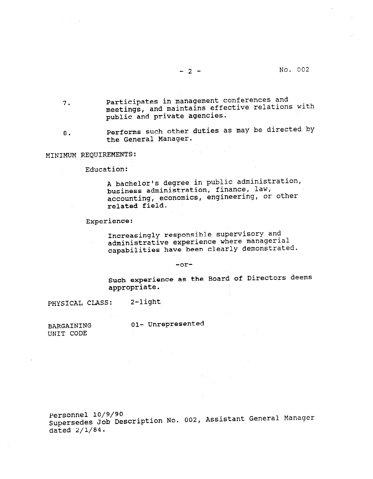-2- No. 002

- 7. Participates in management conferences and meetings, and maintains effective relations with public and private agencies.
- 8. Performs such other duties as may be directed by the General Manager.

**Controller** 

### MINIMUM REQUIREMENTS:

Education:

A bachelor's degree in public administration, business administration, finance, law, accounting, economics, engineering, or other related field.

#### Experience:

Increasingly responsible supervisory and administrative experience where managerial capabilities have been clearly demonstrated.

#### -or-

Such experience as the Board of Directors deems  $\frac{1}{2}$ 

PHYSICAL CLASS: 2-light

Ol- Unrepresented

BARGAINING BARGAINING

Personnel 10/9/90 Supersedes dated  $2/1/84$ .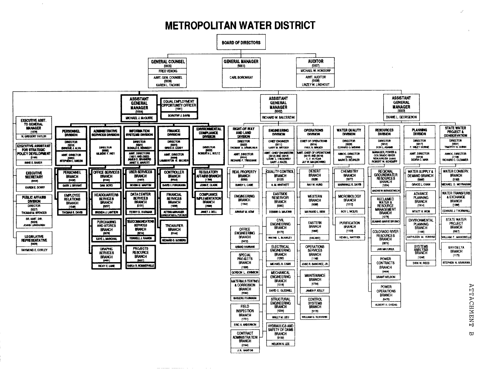# **METROPOLITAN WATER DISTRICT**

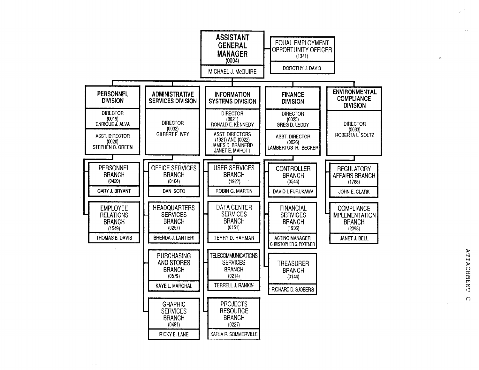

 $\sim$  100

**ATTACHMENT**  $\Omega$